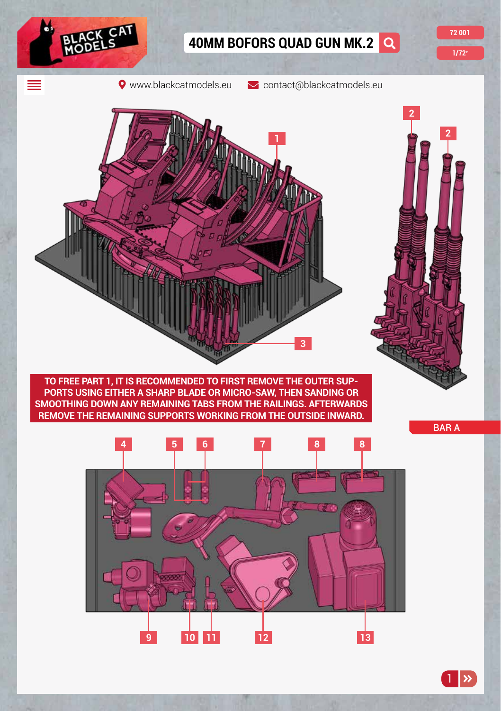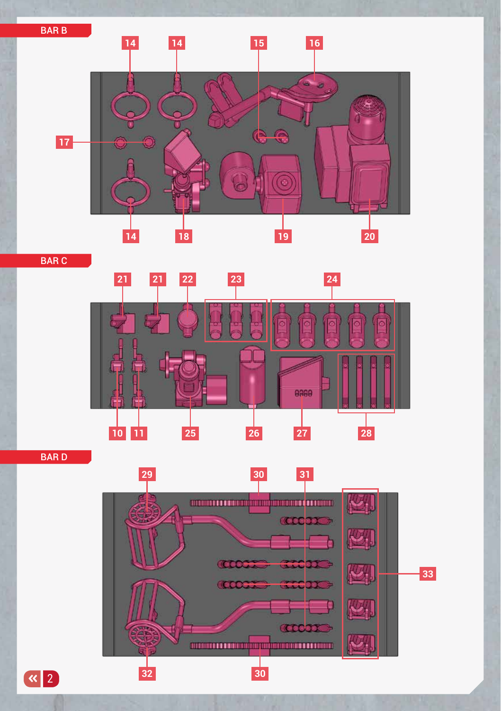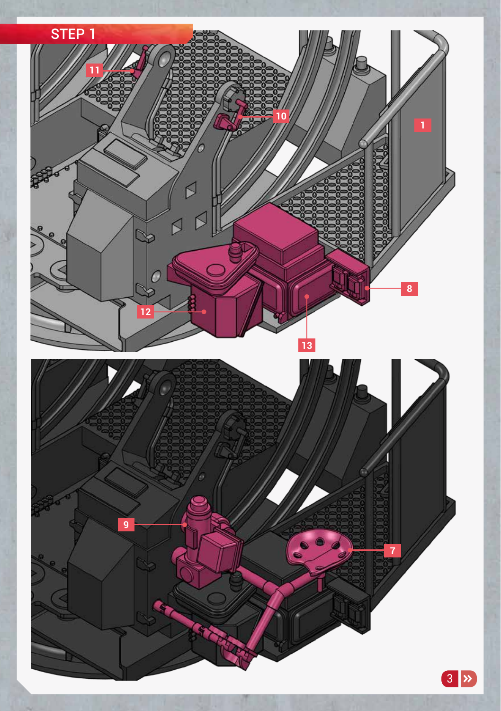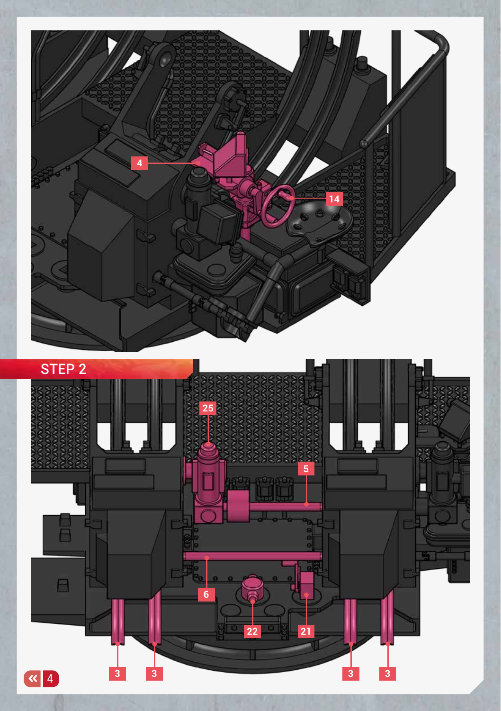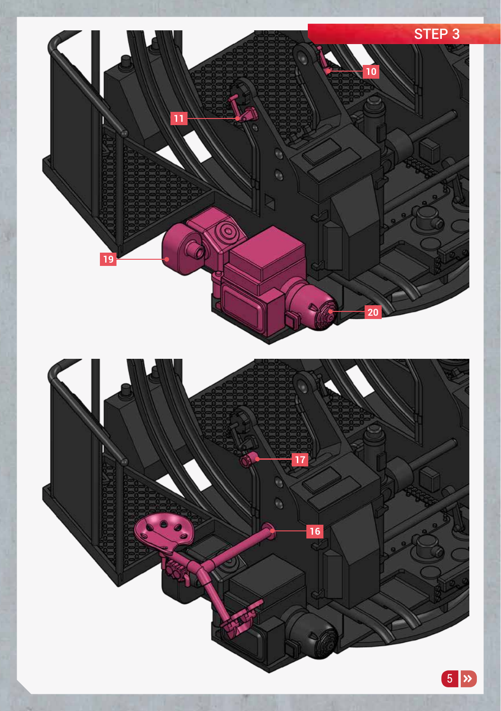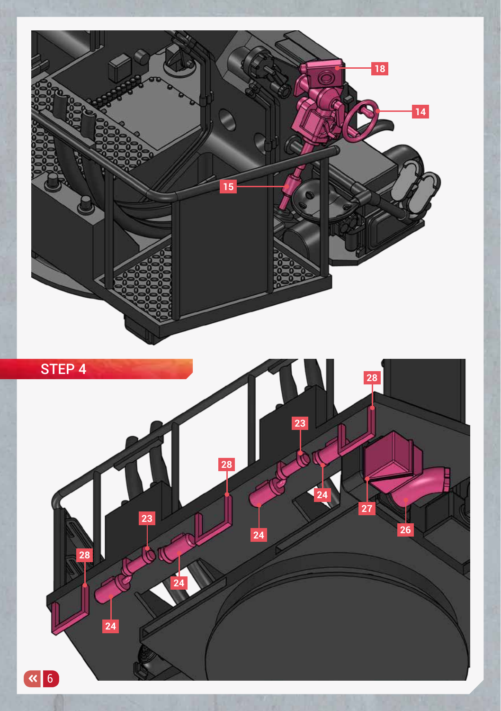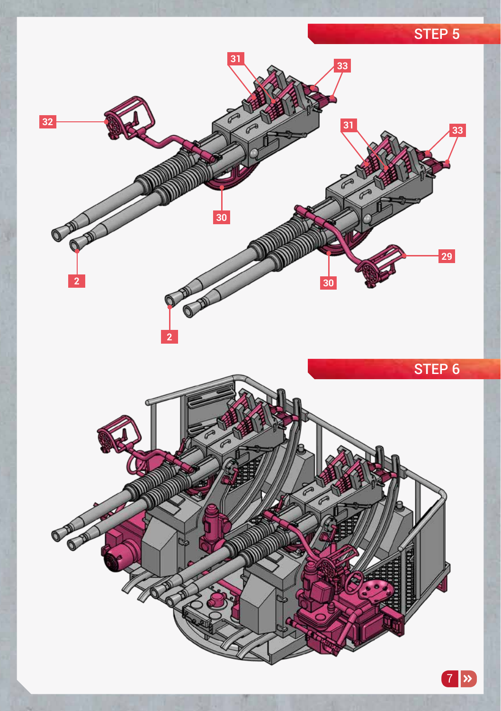## STEP 5